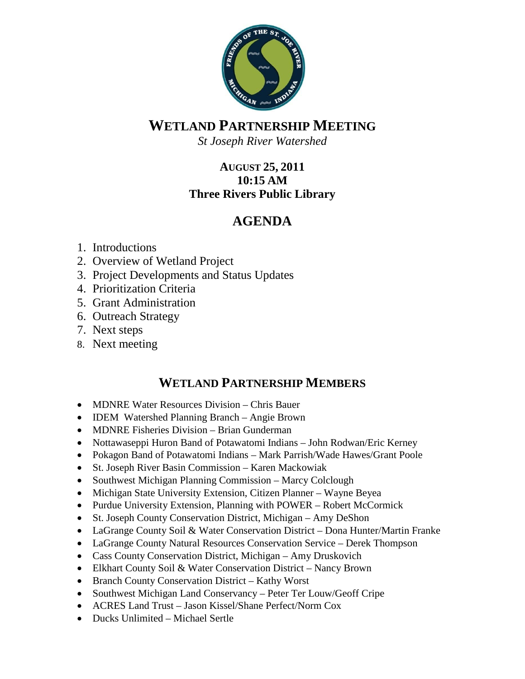

## **WETLAND PARTNERSHIP MEETING**

*St Joseph River Watershed*

## **AUGUST 25, 2011 10:15 AM Three Rivers Public Library**

## **AGENDA**

- 1. Introductions
- 2. Overview of Wetland Project
- 3. Project Developments and Status Updates
- 4. Prioritization Criteria
- 5. Grant Administration
- 6. Outreach Strategy
- 7. Next steps
- 8. Next meeting

## **WETLAND PARTNERSHIP MEMBERS**

- MDNRE Water Resources Division Chris Bauer
- IDEM Watershed Planning Branch Angie Brown
- MDNRE Fisheries Division Brian Gunderman
- Nottawaseppi Huron Band of Potawatomi Indians John Rodwan/Eric Kerney
- Pokagon Band of Potawatomi Indians Mark Parrish/Wade Hawes/Grant Poole
- St. Joseph River Basin Commission Karen Mackowiak
- Southwest Michigan Planning Commission Marcy Colclough
- Michigan State University Extension, Citizen Planner Wayne Beyea
- Purdue University Extension, Planning with POWER Robert McCormick
- St. Joseph County Conservation District, Michigan Amy DeShon
- LaGrange County Soil & Water Conservation District Dona Hunter/Martin Franke
- LaGrange County Natural Resources Conservation Service Derek Thompson
- Cass County Conservation District, Michigan Amy Druskovich
- Elkhart County Soil & Water Conservation District Nancy Brown
- Branch County Conservation District Kathy Worst
- Southwest Michigan Land Conservancy Peter Ter Louw/Geoff Cripe
- ACRES Land Trust Jason Kissel/Shane Perfect/Norm Cox
- Ducks Unlimited Michael Sertle